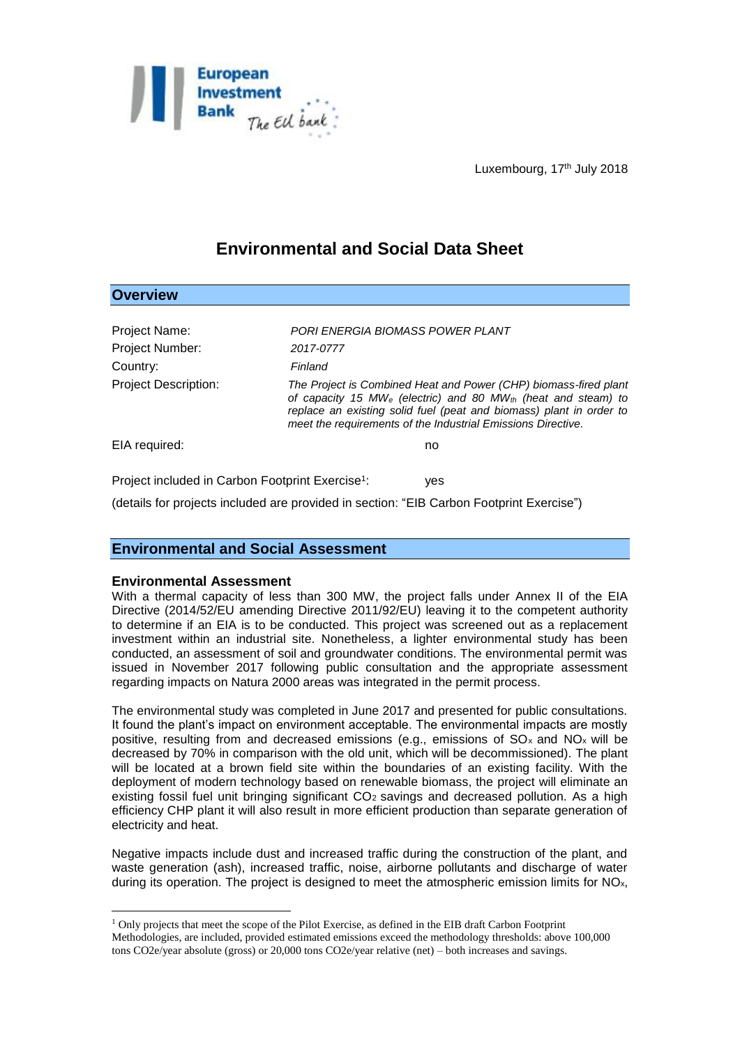

Luxembourg, 17<sup>th</sup> July 2018

# **Environmental and Social Data Sheet**

| <b>Overview</b>                                              |                                                                                                                                                                                                                                                                                  |
|--------------------------------------------------------------|----------------------------------------------------------------------------------------------------------------------------------------------------------------------------------------------------------------------------------------------------------------------------------|
|                                                              |                                                                                                                                                                                                                                                                                  |
| Project Name:                                                | PORI ENERGIA BIOMASS POWER PLANT                                                                                                                                                                                                                                                 |
| Project Number:                                              | 2017-0777                                                                                                                                                                                                                                                                        |
| Country:                                                     | Finland                                                                                                                                                                                                                                                                          |
| <b>Project Description:</b>                                  | The Project is Combined Heat and Power (CHP) biomass-fired plant<br>of capacity 15 $MW_e$ (electric) and 80 $MW_{th}$ (heat and steam) to<br>replace an existing solid fuel (peat and biomass) plant in order to<br>meet the requirements of the Industrial Emissions Directive. |
| EIA required:                                                | no                                                                                                                                                                                                                                                                               |
| Project included in Carbon Footprint Exercise <sup>1</sup> : | ves                                                                                                                                                                                                                                                                              |

(details for projects included are provided in section: "EIB Carbon Footprint Exercise")

## **Environmental and Social Assessment**

### **Environmental Assessment**

1

With a thermal capacity of less than 300 MW, the project falls under Annex II of the EIA Directive (2014/52/EU amending Directive 2011/92/EU) leaving it to the competent authority to determine if an EIA is to be conducted. This project was screened out as a replacement investment within an industrial site. Nonetheless, a lighter environmental study has been conducted, an assessment of soil and groundwater conditions. The environmental permit was issued in November 2017 following public consultation and the appropriate assessment regarding impacts on Natura 2000 areas was integrated in the permit process.

The environmental study was completed in June 2017 and presented for public consultations. It found the plant's impact on environment acceptable. The environmental impacts are mostly positive, resulting from and decreased emissions (e.g., emissions of  $SO_x$  and  $NO_x$  will be decreased by 70% in comparison with the old unit, which will be decommissioned). The plant will be located at a brown field site within the boundaries of an existing facility. With the deployment of modern technology based on renewable biomass, the project will eliminate an existing fossil fuel unit bringing significant  $CO<sub>2</sub>$  savings and decreased pollution. As a high efficiency CHP plant it will also result in more efficient production than separate generation of electricity and heat.

Negative impacts include dust and increased traffic during the construction of the plant, and waste generation (ash), increased traffic, noise, airborne pollutants and discharge of water during its operation. The project is designed to meet the atmospheric emission limits for NOx,

<sup>&</sup>lt;sup>1</sup> Only projects that meet the scope of the Pilot Exercise, as defined in the EIB draft Carbon Footprint Methodologies, are included, provided estimated emissions exceed the methodology thresholds: above 100,000 tons CO2e/year absolute (gross) or 20,000 tons CO2e/year relative (net) – both increases and savings.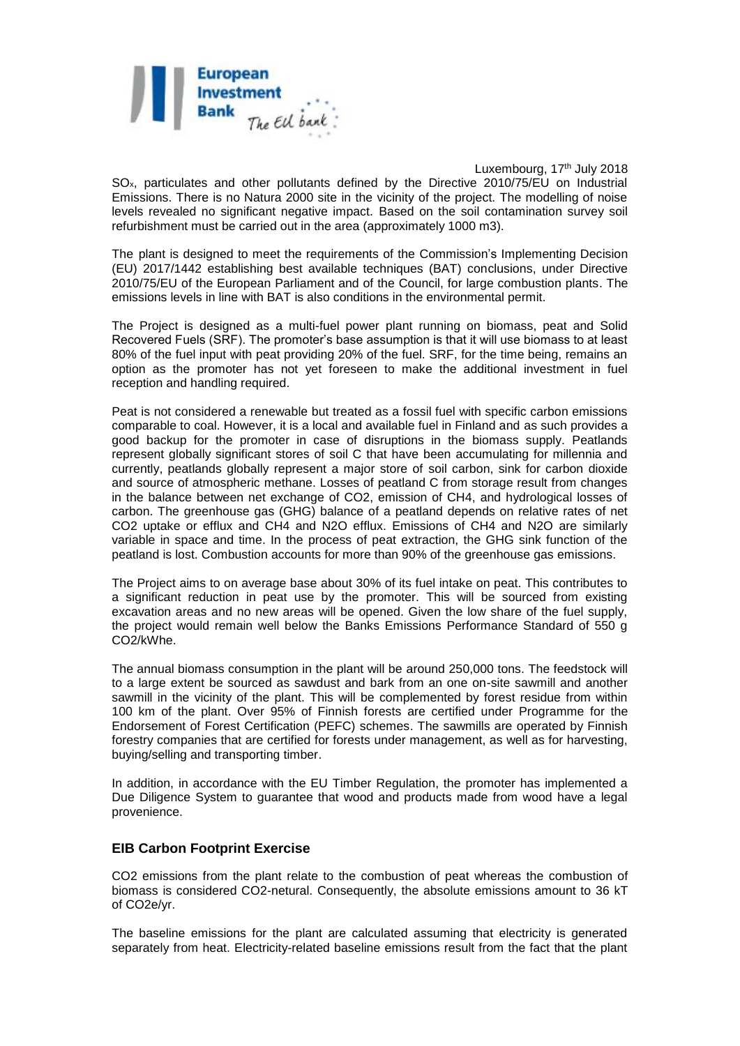

Luxembourg, 17<sup>th</sup> July 2018 SOx, particulates and other pollutants defined by the Directive 2010/75/EU on Industrial Emissions. There is no Natura 2000 site in the vicinity of the project. The modelling of noise levels revealed no significant negative impact. Based on the soil contamination survey soil refurbishment must be carried out in the area (approximately 1000 m3).

The plant is designed to meet the requirements of the Commission's Implementing Decision (EU) 2017/1442 establishing best available techniques (BAT) conclusions, under Directive 2010/75/EU of the European Parliament and of the Council, for large combustion plants. The emissions levels in line with BAT is also conditions in the environmental permit.

The Project is designed as a multi-fuel power plant running on biomass, peat and Solid Recovered Fuels (SRF). The promoter's base assumption is that it will use biomass to at least 80% of the fuel input with peat providing 20% of the fuel. SRF, for the time being, remains an option as the promoter has not yet foreseen to make the additional investment in fuel reception and handling required.

Peat is not considered a renewable but treated as a fossil fuel with specific carbon emissions comparable to coal. However, it is a local and available fuel in Finland and as such provides a good backup for the promoter in case of disruptions in the biomass supply. Peatlands represent globally significant stores of soil C that have been accumulating for millennia and currently, peatlands globally represent a major store of soil carbon, sink for carbon dioxide and source of atmospheric methane. Losses of peatland C from storage result from changes in the balance between net exchange of CO2, emission of CH4, and hydrological losses of carbon. The greenhouse gas (GHG) balance of a peatland depends on relative rates of net CO2 uptake or efflux and CH4 and N2O efflux. Emissions of CH4 and N2O are similarly variable in space and time. In the process of peat extraction, the GHG sink function of the peatland is lost. Combustion accounts for more than 90% of the greenhouse gas emissions.

The Project aims to on average base about 30% of its fuel intake on peat. This contributes to a significant reduction in peat use by the promoter. This will be sourced from existing excavation areas and no new areas will be opened. Given the low share of the fuel supply, the project would remain well below the Banks Emissions Performance Standard of 550 g CO2/kWhe.

The annual biomass consumption in the plant will be around 250,000 tons. The feedstock will to a large extent be sourced as sawdust and bark from an one on-site sawmill and another sawmill in the vicinity of the plant. This will be complemented by forest residue from within 100 km of the plant. Over 95% of Finnish forests are certified under Programme for the Endorsement of Forest Certification (PEFC) schemes. The sawmills are operated by Finnish forestry companies that are certified for forests under management, as well as for harvesting, buying/selling and transporting timber.

In addition, in accordance with the EU Timber Regulation, the promoter has implemented a Due Diligence System to guarantee that wood and products made from wood have a legal provenience.

### **EIB Carbon Footprint Exercise**

CO2 emissions from the plant relate to the combustion of peat whereas the combustion of biomass is considered CO2-netural. Consequently, the absolute emissions amount to 36 kT of CO2e/yr.

The baseline emissions for the plant are calculated assuming that electricity is generated separately from heat. Electricity-related baseline emissions result from the fact that the plant